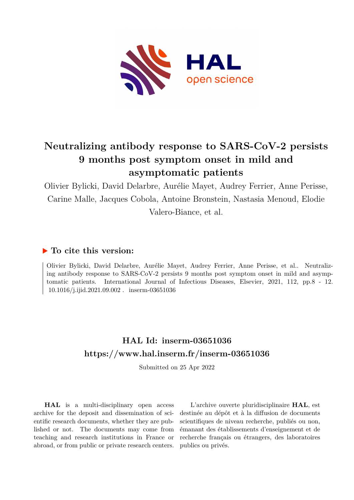

# **Neutralizing antibody response to SARS-CoV-2 persists 9 months post symptom onset in mild and asymptomatic patients**

Olivier Bylicki, David Delarbre, Aurélie Mayet, Audrey Ferrier, Anne Perisse, Carine Malle, Jacques Cobola, Antoine Bronstein, Nastasia Menoud, Elodie Valero-Biance, et al.

# **To cite this version:**

Olivier Bylicki, David Delarbre, Aurélie Mayet, Audrey Ferrier, Anne Perisse, et al.. Neutralizing antibody response to SARS-CoV-2 persists 9 months post symptom onset in mild and asymptomatic patients. International Journal of Infectious Diseases, Elsevier, 2021, 112, pp.8 - 12.  $10.1016/j.ijid.2021.09.002$ . inserm-03651036

# **HAL Id: inserm-03651036 <https://www.hal.inserm.fr/inserm-03651036>**

Submitted on 25 Apr 2022

**HAL** is a multi-disciplinary open access archive for the deposit and dissemination of scientific research documents, whether they are published or not. The documents may come from teaching and research institutions in France or abroad, or from public or private research centers.

L'archive ouverte pluridisciplinaire **HAL**, est destinée au dépôt et à la diffusion de documents scientifiques de niveau recherche, publiés ou non, émanant des établissements d'enseignement et de recherche français ou étrangers, des laboratoires publics ou privés.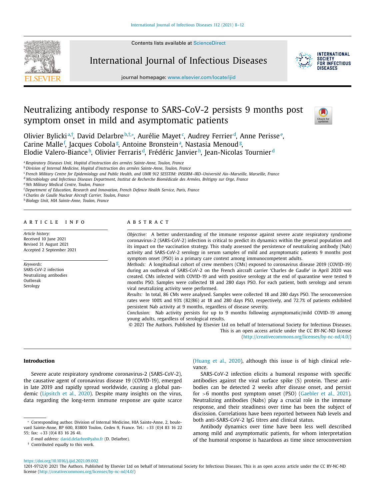Contents lists available at [ScienceDirect](http://www.ScienceDirect.com)



International Journal of Infectious Diseases



journal homepage: [www.elsevier.com/locate/ijid](http://www.elsevier.com/locate/ijid)

# Neutralizing antibody response to SARS-CoV-2 persists 9 months post symptom onset in mild and asymptomatic patients



Olivier Bylickiª'†, David Delarbre<sup>b,†,</sup>\*, Aurélie Mayet¢, Audrey Ferrier<sup>d</sup>, Anne Perisse°, Carine Malle<sup>f</sup>, Jacques Cobola<sup>g</sup>, Antoine Bronstein<sup>a</sup>, Nastasia Menoud<sup>g</sup>, Elodie Valero-Biance<sup>h</sup>, Olivier Ferraris<sup>d</sup>, Frédéric Janvier<sup>h</sup>, Jean-Nicolas Tournier<sup>d</sup>

<sup>a</sup> *Respiratory Diseases Unit, Hopital d'instruction des armées Sainte-Anne, Toulon, France*

<sup>b</sup> *Division of Internal Medicine, Hopital d'instruction des armées Sainte-Anne, Toulon, France*

<sup>c</sup> French Military Centre for Epidemiology and Public Health, and UMR 912 SESSTIM: INSERM-IRD-Université Aix-Marseille. Marseille, France

<sup>d</sup> Microbiology and Infectious Diseases Department, Institut de Recherche Biomédicale des Armées, Brétigny sur Orge, France

<sup>e</sup> *9th Military Medical Centre, Toulon, France*

<sup>f</sup> *Department of Education, Research and Innovation, French Defence Health Service, Paris, France*

<sup>g</sup> *Charles de Gaulle Nuclear Aircraft Carrier, Toulon, France*

<sup>h</sup> *Biology Unit, HIA Sainte-Anne, Toulon, France*

# a r t i c l e i n f o

*Article history:* Received 10 June 2021 Revised 31 August 2021 Accepted 2 September 2021

*Keywords:* SARS-CoV-2 infection Neutralizing antibodies Outbreak Serology

# a b s t r a c t

*Objective:* A better understanding of the immune response against severe acute respiratory syndrome coronavirus-2 (SARS-CoV-2) infection is critical to predict its dynamics within the general population and its impact on the vaccination strategy. This study assessed the persistence of neutralizing antibody (Nab) activity and SARS-CoV-2 serology in serum samples of mild and asymptomatic patients 9 months post symptom onset (PSO) in a primary care context among immunocompetent adults.

*Methods:* A longitudinal cohort of crew members (CMs) exposed to coronavirus disease 2019 (COVID-19) during an outbreak of SARS-CoV-2 on the French aircraft carrier 'Charles de Gaulle' in April 2020 was created. CMs infected with COVID-19 and with positive serology at the end of quarantine were tested 9 months PSO. Samples were collected 18 and 280 days PSO. For each patient, both serology and serum viral neutralizing activity were performed.

*Results:* In total, 86 CMs were analysed. Samples were collected 18 and 280 days PSO. The seroconversion rates were 100% and 93% (82/86) at 18 and 280 days PSO, respectively, and 72.7% of patients exhibited persistent Nab activity at 9 months, regardless of disease severity.

*Conclusion:* Nab activity persists for up to 9 months following asymptomatic/mild COVID-19 among young adults, regardless of serological results.

© 2021 The Authors. Published by Elsevier Ltd on behalf of International Society for Infectious Diseases. This is an open access article under the CC BY-NC-ND license [\(http://creativecommons.org/licenses/by-nc-nd/4.0/\)](http://creativecommons.org/licenses/by-nc-nd/4.0/)

# **Introduction**

Severe acute respiratory syndrome coronavirus-2 (SARS-CoV-2), the causative agent of coronavirus disease 19 (COVID-19), emerged in late 2019 and rapidly spread worldwide, causing a global pandemic (Lipsitch et al., 2020). Despite many insights on the virus, data regarding the long-term immune response are quite scarce

† Contributed equally to this work.

(Huang et al., 2020), although this issue is of high clinical relevance.

SARS-CoV-2 infection elicits a humoral response with specific antibodies against the viral surface spike (S) protein. These antibodies can be detected 2 weeks after disease onset, and persist for >6 months post symptom onset (PSO) (Gaebler et al., 2021). Neutralizing antibodies (Nabs) play a crucial role in the immune response, and their steadiness over time has been the subject of discission. Correlations have been reported between Nab levels and both anti-SARS-CoV-2 IgG titres and clinical status.

Antibody dynamics over time have been less well described among mild and asymptomatic patients, for whom interpretation of the humoral response is hazardous as time since seroconversion

<https://doi.org/10.1016/j.ijid.2021.09.002>

<sup>∗</sup> Corresponding author. Division of Internal Medicine, HIA Sainte-Anne, 2, boulevard Sainte-Anne, BP 600, 83800 Toulon, Cedex 9, France. Tel.: +33 (0)4 83 16 22 55; fax: +33 (0)4 83 16 26 41.

*E-mail address:* [david.delarbre@yaho.fr](mailto:david.delarbre@yaho.fr) (D. Delarbre).

<sup>1201-9712/© 2021</sup> The Authors. Published by Elsevier Ltd on behalf of International Society for Infectious Diseases. This is an open access article under the CC BY-NC-ND license [\(http://creativecommons.org/licenses/by-nc-nd/4.0/\)](http://creativecommons.org/licenses/by-nc-nd/4.0/)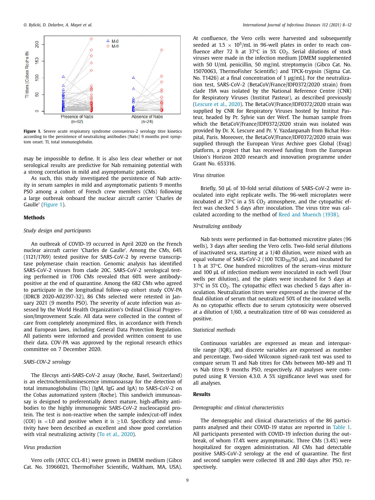

**Figure 1.** Severe acute respiratory syndrome coronavirus-2 serology titre kinetics according to the persistence of neutralizing antibodies (Nabs) 9 months post symptom onset. TI, total immunoglobulin.

may be impossible to define. It is also less clear whether or not serological results are predictive for Nab remaining potential with a strong correlation in mild and asymptomatic patients.

As such, this study investigated the persistence of Nab activity in serum samples in mild and asymptomatic patients 9 months PSO among a cohort of French crew members (CMs) following a large outbreak onboard the nuclear aircraft carrier 'Charles de Gaulle' (Figure 1).

#### **Methods**

## *Study design and participants*

An outbreak of COVID-19 occurred in April 2020 on the French nuclear aircraft carrier 'Charles de Gaulle'. Among the CMs, 64% (1121/1769) tested positive for SARS-CoV-2 by reverse transcriptase polymerase chain reaction. Genomic analysis has identified SARS-CoV-2 viruses from clade 20C. SARS-CoV-2 serological testing performed in 1706 CMs revealed that 60% were antibodypositive at the end of quarantine. Among the 682 CMs who agreed to participate in the longitudinal follow-up cohort study COV-PA (IDRCB 2020-A02397-32), 86 CMs selected were retested in January 2021 (9 months PSO). The severity of acute infection was assessed by the World Health Organization's Ordinal Clinical Progression/Improvement Scale. All data were collected in the context of care from completely anonymized files, in accordance with French and European laws, including General Data Protection Regulation. All patients were informed and provided written consent to use their data. COV-PA was approved by the regional research ethics committee on 7 December 2020.

## *SARS-COV-2 serology*

The Elecsys anti-SARS-CoV-2 assay (Roche, Basel, Switzerland) is an electrochemiluminescence immunoassay for the detection of total immunoglobulins (TIs) (IgM, IgG and IgA) to SARS-CoV-2 on the Cobas automatized system (Roche). This sandwich immunoassay is designed to preferentially detect mature, high-affinity antibodies to the highly immunogenic SARS-CoV-2 nucleocapsid protein. The test is non-reactive when the sample index/cut-off index (COI) is <1.0 and positive when it is  $\geq$ 1.0. Specificity and sensitivity have been described as excellent and show good correlation with viral neutralizing activity (To et al., 2020).

# *Virus production*

Vero cells (ATCC CCL-81) were grown in DMEM medium (Gibco Cat. No. 31966021, ThermoFisher Scientific, Waltham, MA, USA). At confluence, the Vero cells were harvested and subsequently seeded at 1.5  $\times$  10<sup>5</sup>/mL in 96-well plates in order to reach confluence after 72 h at 37 $\degree$ C in 5% CO<sub>2</sub>. Serial dilutions of stock viruses were made in the infection medium [DMEM supplemented with 50 U/mL penicillin, 50 mg/mL streptomycin (Gibco Cat. No. 15070063, ThermoFisher Scientific) and TPCK-trypsin (Sigma Cat. No. T1426) at a final concentration of 1 μg/mL]. For the neutralization test, SARS-CoV-2 (BetaCoV/France/IDF0372/2020 strain) from clade 19A was isolated by the National Reference Centre (CNR) for Respiratory Viruses (Institut Pasteur), as described previously (Lescure et al., 2020). The BetaCoV/France/IDF0372/2020 strain was supplied by CNR for Respiratory Viruses hosted by Institut Pasteur, headed by Pr. Sylvie van der Werf. The human sample from which the BetaCoV/France/IDF0372/2020 strain was isolated was provided by Dr. X. Lescure and Pr. Y. Yazdanpanah from Bichat Hospital, Paris. Moreover, the BetaCoV/France/IDF0372/2020 strain was supplied through the European Virus Archive goes Global (Evag) platform, a project that has received funding from the European Union's Horizon 2020 research and innovation programme under Grant No. 653316.

#### *Virus titration*

Briefly, 50 μL of 10-fold serial dilutions of SARS-CoV-2 were inoculated into eight replicate wells. The 96-well microplates were incubated at 37 $\degree$ C in a 5% CO<sub>2</sub> atmosphere, and the cytopathic effect was checked 5 days after inoculation. The virus titre was calculated according to the method of Reed and Muench (1938).

# *Neutralizing antibody*

Nab tests were performed in flat-bottomed microtitre plates (96 wells), 3 days after seeding the Vero cells. Two-fold serial dilutions of inactivated sera, starting at a 1/40 dilution, were mixed with an equal volume of SARS-CoV-2 (100 TCID $_{50}$ /50  $\mu$ L), and incubated for 1 h at 37°C. One hundred microlitres of the serum–virus mixture and 100 μL of infection medium were inoculated in each well (four wells per dilution), and the plates were incubated for 5 days at  $37^{\circ}$ C in 5% CO<sub>2</sub>. The cytopathic effect was checked 5 days after inoculation. Neutralization titres were expressed as the inverse of the final dilution of serum that neutralized 50% of the inoculated wells. As no cytopathic effects due to serum cytotoxicity were observed at a dilution of 1/60, a neutralization titre of 60 was considered as positive.

# *Statistical methods*

Continuous variables are expressed as mean and interquartile range (IQR), and discrete variables are expressed as number and percentage. Two-sided Wilcoxon signed-rank test was used to compare serum TI and Nab titres for CMs between M0–M9 and TI vs Nab titres 9 months PSO, respectively. All analyses were computed using R Version 4.3.0. A 5% significance level was used for all analyses.

# **Results**

# *Demographic and clinical characteristics*

The demographic and clinical characteristics of the 86 participants analysed and their COVID-19 status are reported in Table 1. All participants presented with COVID-19 infection during the outbreak, of whom 17.4% were asymptomatic. Three CMs (3.4%) were hospitalized for oxygen administration. All CMs had detectable positive SARS-CoV-2 serology at the end of quarantine. The first and second samples were collected 18 and 280 days after PSO, respectively.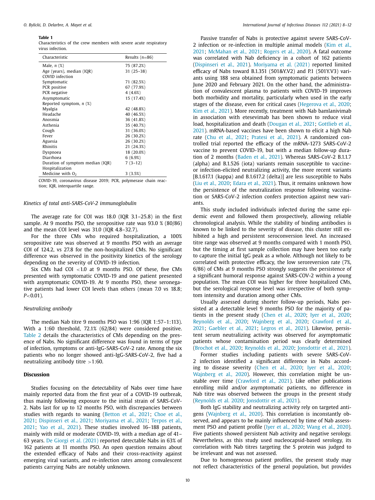#### **Table 1**

Characteristics of the crew members with severe acute respiratory virus infection.

| Male, $n(\%)$<br>75 (87.2%)<br>$31(25-38)$<br>Age (years), median (IQR)<br>COVID infection<br>71 (82.5%)<br>Symptomatic<br>67 (77.9%)<br>PCR positive<br>PCR negative<br>4(4.6%)<br>15 (17.4%)<br>Asymptomatic<br>Reported symptom, $n$ (%)<br>Myalgia<br>42 (48.8%)<br>Headache<br>40 (46.5%)<br>36 (41.8%)<br>Anosmia<br>Asthenia<br>35 (40.7%)<br>31 (36.0%)<br>Cough<br>26 (30.2%)<br>Fever<br>26 (30.2%)<br>Aguesia<br>Rhinitis<br>21 (24.3%)<br>18 (20.0%)<br>Dyspnoea<br>Diarrhoea<br>6(6.9%)<br>$7(3-12)$<br>Duration of symptom median (IQR)<br>Hospitalization<br>Medicine with $O2$<br>3(3.5%) | Characteristic | Results $(n=86)$ |
|-----------------------------------------------------------------------------------------------------------------------------------------------------------------------------------------------------------------------------------------------------------------------------------------------------------------------------------------------------------------------------------------------------------------------------------------------------------------------------------------------------------------------------------------------------------------------------------------------------------|----------------|------------------|
|                                                                                                                                                                                                                                                                                                                                                                                                                                                                                                                                                                                                           |                |                  |
|                                                                                                                                                                                                                                                                                                                                                                                                                                                                                                                                                                                                           |                |                  |
|                                                                                                                                                                                                                                                                                                                                                                                                                                                                                                                                                                                                           |                |                  |
|                                                                                                                                                                                                                                                                                                                                                                                                                                                                                                                                                                                                           |                |                  |
|                                                                                                                                                                                                                                                                                                                                                                                                                                                                                                                                                                                                           |                |                  |
|                                                                                                                                                                                                                                                                                                                                                                                                                                                                                                                                                                                                           |                |                  |
|                                                                                                                                                                                                                                                                                                                                                                                                                                                                                                                                                                                                           |                |                  |
|                                                                                                                                                                                                                                                                                                                                                                                                                                                                                                                                                                                                           |                |                  |
|                                                                                                                                                                                                                                                                                                                                                                                                                                                                                                                                                                                                           |                |                  |
|                                                                                                                                                                                                                                                                                                                                                                                                                                                                                                                                                                                                           |                |                  |
|                                                                                                                                                                                                                                                                                                                                                                                                                                                                                                                                                                                                           |                |                  |
|                                                                                                                                                                                                                                                                                                                                                                                                                                                                                                                                                                                                           |                |                  |
|                                                                                                                                                                                                                                                                                                                                                                                                                                                                                                                                                                                                           |                |                  |
|                                                                                                                                                                                                                                                                                                                                                                                                                                                                                                                                                                                                           |                |                  |
|                                                                                                                                                                                                                                                                                                                                                                                                                                                                                                                                                                                                           |                |                  |
|                                                                                                                                                                                                                                                                                                                                                                                                                                                                                                                                                                                                           |                |                  |
|                                                                                                                                                                                                                                                                                                                                                                                                                                                                                                                                                                                                           |                |                  |
|                                                                                                                                                                                                                                                                                                                                                                                                                                                                                                                                                                                                           |                |                  |
|                                                                                                                                                                                                                                                                                                                                                                                                                                                                                                                                                                                                           |                |                  |
|                                                                                                                                                                                                                                                                                                                                                                                                                                                                                                                                                                                                           |                |                  |
|                                                                                                                                                                                                                                                                                                                                                                                                                                                                                                                                                                                                           |                |                  |

COVID-19, coronavirus disease 2019; PCR, polymerase chain reaction; IQR, interquartile range.

### *Kinetics of total anti-SARS-CoV-2 immunoglobulin*

The average rate for COI was 18.0 (IQR 3.1–25.8) in the first sample. At 9 months PSO, the seropositive rate was 93.0 % (80/86) and the mean COI level was 31.0 (IQR 4.8–32.7).

For the three CMs who required hospitalization, a 100% seropositive rate was observed at 9 months PSO with an average COI of 124.2, vs 27.8 for the non-hospitalized CMs. No significant difference was observed in the positivity kinetics of the serology depending on the severity of COVID-19 infection.

Six CMs had COI <1.0 at 9 months PSO. Of these, five CMs presented with symptomatic COVID-19 and one patient presented with asymptomatic COVID-19. At 9 months PSO, these seronegative patients had lower COI levels than others (mean 7.0 vs 18.8; *P*<0.01).

### *Neutralizing antibody*

The median Nab titre 9 months PSO was 1:96 (IQR 1:57–1:113). With a 1:60 threshold, 72.1% (62/84) were considered positive. Table 2 details the characteristics of CMs depending on the presence of Nabs. No significant difference was found in terms of type of infection, symptoms or anti-IgG-SARS-CoV-2 rate. Among the six patients who no longer showed anti-IgG-SARS-CoV-2, five had a neutralizing antibody titre  $>1:60$ .

# **Discussion**

Studies focusing on the detectability of Nabs over time have mainly reported data from the first year of a COVID-19 outbreak, thus mainly following exposure to the initial strain of SARS-CoV-2. Nabs last for up to 12 months PSO, with discrepancies between studies with regards to waning (Betton et al., 2021; Choe et al., 2021; Dispinseri et al., 2021; Moriyama et al., 2021; Terpos et al., 2021; Yao et al., 2021). These studies involved 16–188 patients, mainly with mild or moderate COVID-19, with a median age of 41– 63 years. De Giorgi et al. (2021) reported detectable Nabs in 63% of 162 patients at 11 months PSO. An open question remains about the extended efficacy of Nabs and their cross-reactivity against emerging viral variants, and re-infection rates among convalescent patients carrying Nabs are notably unknown.

Passive transfer of Nabs is protective against severe SARS-CoV-2 infection or re-infection in multiple animal models (Kim et al., 2021; McMahan et al., 2021; Rogers et al., 2020). A fatal outcome was correlated with Nab deficiency in a cohort of 162 patients (Dispinseri et al., 2021). Moriyama et al. (2021) reported limited efficacy of Nabs toward B.1.351 (501&Y.V2) and P.1 (501Y.V3) variants using 188 sera obtained from symptomatic patients between June 2020 and February 2021. On the other hand, the administration of convalescent plasma to patients with COVID-19 improves both morbidity and mortality, particularly when used in the early stages of the disease, even for critical cases (Hegerova et al., 2020; Kim et al., 2021). More recently, treatment with Nab bamlanivimab in association with etesevimab has been shown to reduce viral load, hospitalization and death (Dougan et al., 2021; Gottlieb et al., 2021). mRNA-based vaccines have been shown to elicit a high Nab rate (Chu et al., 2021; Pratesi et al., 2021). A randomized controlled trial reported the efficacy of the mRNA-1273 SARS-CoV-2 vaccine to prevent COVID-19, but with a median follow-up duration of 2 months (Baden et al., 2021). Whereas SARS-CoV-2 B.1.1.7 (alpha) and B.1.526 (iota) variants remain susceptible to vaccineor infection-elicited neutralizing activity, the more recent variants [B.1.617.1 (kappa) and B.1.617.2 (delta)] are less susceptible to Nabs (Liu et al., 2020; Edara et al., 2021). Thus, it remains unknown how the persistence of the neutralization response following vaccination or SARS-CoV-2 infection confers protection against new variants.

This study included individuals infected during the same epidemic event and followed them prospectively, allowing reliable chronological analysis. While the stability of binding antibodies is known to be linked to the severity of disease, this cluster still exhibited a high and persistent seroconversion level. An increased titre range was observed at 9 months compared with 1 month PSO, but the timing at first sample collection may have been too early to capture the initial IgG peak as a whole. Although not likely to be correlated with protective efficacy, the low seroreversion rate (7%, 6/86) of CMs at 9 months PSO strongly suggests the persistence of a significant humoral response against SARS-COV-2 within a young population. The mean COI was higher for three hospitalized CMs, but the serological response level was irrespective of both symptom intensity and duration among other CMs.

Usually assessed during shorter follow-up periods, Nabs persisted at a detectable level 9 months PSO for the majority of patients in the present study (Chen et al., 2020; Iyer et al., 2020; Reynolds et al., 2020; Wajnberg et al., 2020; Crawford et al., 2021; Gaebler et al., 2021; Legros et al., 2021). Likewise, persistent serum neutralizing activity was observed for asymptomatic patients whose contamination period was clearly determined (Brochot et al., 2020; Reynolds et al., 2020; Jonsdottir et al., 2021).

Former studies including patients with severe SARS-CoV-2 infection identified a significant difference in Nabs according to disease severity (Chen et al., 2020; Iyer et al., 2020; Wajnberg et al., 2020). However, this correlation might be unstable over time (Crawford et al., 2021). Like other publications enrolling mild and/or asymptomatic patients, no difference in Nab titre was observed between the groups in the present study (Reynolds et al. 2020; Jonsdottir et al., 2021).

Both IgG stability and neutralizing activity rely on targeted antigens (Wajnberg et al., 2020). This correlation is inconstantly observed, and appears to be mainly influenced by time of Nab assessment PSO and patient profile (Iyer et al., 2020; Wang et al., 2020). Five patients showed persistent Nab activity and negative serology. Nevertheless, as this study used nucleocapsid-based serology, its correlation with Nab titres targeting the S protein was judged to be irrelevant and was not assessed.

Due to homogeneous patient profiles, the present study may not reflect characteristics of the general population, but provides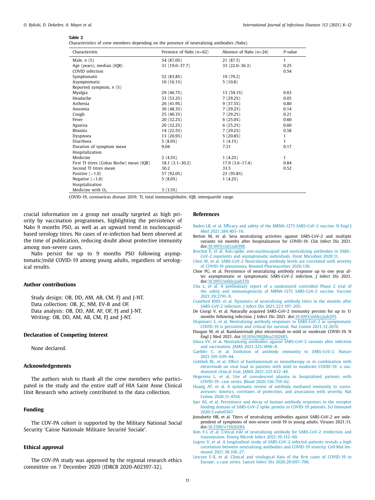#### **Table 2**

Characteristics of crew members depending on the presence of neutralizing antibodies (Nabs).

| Characteristic                           | Presence of Nabs $(n=62)$ | Absence of Nabs $(n=24)$ | P-value      |
|------------------------------------------|---------------------------|--------------------------|--------------|
|                                          |                           |                          | $\mathbf{1}$ |
| Male, $n$ $(\%)$                         | 54 (87.0%)                | 21 (87.5)                |              |
| Age (years), median (IQR)                | 31 (19.0-37.7)            | 33 (22.0-36.3)           | 0.25         |
| COVID infection                          |                           |                          | 0.54         |
| Symptomatic                              | 52 (83.8%)                | 19 (79.2)                |              |
| Asymptomatic                             | 10(16.1%)                 | 5(10.8)                  |              |
| Reported symptom, $n$ (%)                |                           |                          |              |
| Myalgia                                  | 29 (46.7%)                | 13 (54.1%)               | 0.63         |
| Headache                                 | 33 (53.2%)                | 7(29.2%)                 | 0.05         |
| Asthenia                                 | 26 (41.9%)                | 9(37.5%)                 | 0.80         |
| Anosmia                                  | 30 (48.3%)                | 7(29.2%)                 | 0.14         |
| Cough                                    | 25 (40.3%)                | 7(29.2%)                 | 0.21         |
| Fever                                    | 20 (32.2%)                | 6(25.0%)                 | 0.60         |
| Aguesia                                  | 20 (32.2%)                | 6(25.2%)                 | 0.60         |
| Rhinitis                                 | 14 (22.5%)                | 7(29.2%)                 | 0.58         |
| Dyspnoea                                 | 13 (20.9%)                | 5(20.8%)                 | $\mathbf{1}$ |
| Diarrhoea                                | $5(8.0\%)$                | 1(4.1%)                  | $\mathbf{1}$ |
| Duration of symptom mean                 | 9.04                      | 7.31                     | 0.17         |
| Hospitalization                          |                           |                          |              |
| Medicine                                 | 2(4.5%)                   | 1(4.2%)                  | $\mathbf{1}$ |
| First TI titres (Cobas Roche) mean (IQR) | $18.1(3.1 - 30.2)$        | $17.9(3.6-17.4)$         | 0.84         |
| Second TI titres mean                    | 30.2                      | 33.5                     | 0.52         |
| Positive $(>1.0)$                        | 57 (92.0%)                | 23 (95.8%)               |              |
| Negative $(<1.0)$                        | $5(8.0\%)$                | 1(4.2%)                  |              |
| Hospitalization                          |                           |                          |              |
| Medicine with $O2$                       | 3(3.5%)                   |                          |              |

COVID-19, coronavirus disease 2019; TI, total immunoglobulin; IQR, interquartile range.

crucial information on a group not usually targeted as high priority by vaccination programmes, highlighting the persistence of Nabs 9 months PSO, as well as an upward trend in nucleocapsidbased serology titres. No cases of re-infection had been observed at the time of publication, reducing doubt about protective immunity among non-severe cases.

Nabs persist for up to 9 months PSO following asymptomatic/mild COVID-19 among young adults, regardless of serological results.

# **Author contributions**

Study design: OB, DD, AM, AB, CM, FJ and J-NT. Data collection: OB, JC, NM, EV-B and OF. Data analysis: OB, DD, AM, AF, OF, FJ and J-NT. Writing: OB, DD, AM, AB, CM, FJ and J-NT.

# **Declaration of Competing Interest**

None declared.

### **Acknowledgements**

The authors wish to thank all the crew members who participated in the study and the entire staff of HIA Saint Anne Clinical Unit Research who actively contributed to the data collection.

# **Funding**

The COV-PA cohort is supported by the Military National Social Security 'Caisse Nationale Militaire Securité Sociale'.

# **Ethical approval**

The COV-PA study was approved by the regional research ethics committee on 7 December 2020 (IDRCB 2020-A02397-32).

#### **References**

- [Baden](http://refhub.elsevier.com/S1201-9712(21)00707-4/sbref0001) LR, et [al.](http://refhub.elsevier.com/S1201-9712(21)00707-4/sbref0001) Efficacy and safety of the MRNA-1273 SARS-CoV-2 vaccine. N Engl J Med [2021;384:403–16.](http://refhub.elsevier.com/S1201-9712(21)00707-4/sbref0001)
- Betton M, et al. Sera neutralizing activities against SARS-CoV-2 and multiple variants six months after hospitalization for COVID-19. Clin Infect Dis 2021. doi[:10.1093/cid/ciab308.](https://doi.org/10.1093/cid/ciab308)
- [Brochot](http://refhub.elsevier.com/S1201-9712(21)00707-4/sbref0003) E, et [al.](http://refhub.elsevier.com/S1201-9712(21)00707-4/sbref0003) Anti-spike, [anti-nucleocapsid](http://refhub.elsevier.com/S1201-9712(21)00707-4/sbref0003) and neutralizing antibodies in SARS– CoV-2 inpatients and asymptomatic individuals. Front Microbiol 2020;11.
- [Chen](http://refhub.elsevier.com/S1201-9712(21)00707-4/sbref0004) W, et [al.](http://refhub.elsevier.com/S1201-9712(21)00707-4/sbref0004) SARS-CoV-2 Neutralizing antibody levels are correlated with severity of COVID-19 pneumonia. Biomed [Pharmacother](http://refhub.elsevier.com/S1201-9712(21)00707-4/sbref0004) 2020;130.
- Choe PG, et al. Persistence of neutralizing antibody response up to one year after asymptomatic or symptomatic SARS-CoV-2 infection. J Infect Dis 2021. doi[:10.1093/infdis/jiab339.](https://doi.org/10.1093/infdis/jiab339)
- [Chu](http://refhub.elsevier.com/S1201-9712(21)00707-4/sbref0006) L, et [al.](http://refhub.elsevier.com/S1201-9712(21)00707-4/sbref0006) A preliminary report of a randomized controlled Phase 2 trial of the safety and immunogenicity of MRNA-1273 SARS-CoV-2 vaccine. Vaccine [2021;39:2791–9.](http://refhub.elsevier.com/S1201-9712(21)00707-4/sbref0006)
- [Crawford](http://refhub.elsevier.com/S1201-9712(21)00707-4/sbref0007) KHD, et [al.](http://refhub.elsevier.com/S1201-9712(21)00707-4/sbref0007) Dynamics of neutralizing antibody titers in the months after SARS-CoV-2 infection. J Infect Dis [2021;223:197–205.](http://refhub.elsevier.com/S1201-9712(21)00707-4/sbref0007)
- De Giorgi V, et al. Naturally acquired SARS-CoV-2 immunity persists for up to 11 months following infection. J Infect Dis 2021. doi[:10.1093/infdis/jiab295.](https://doi.org/10.1093/infdis/jiab295)
- [Dispinseri](http://refhub.elsevier.com/S1201-9712(21)00707-4/sbref0010) S, et [al.](http://refhub.elsevier.com/S1201-9712(21)00707-4/sbref0010) Neutralizing antibody responses to SARS-CoV-2 in symptomatic COVID-19 is persistent and critical for survival. Nat Comm [2021;12:2670.](http://refhub.elsevier.com/S1201-9712(21)00707-4/sbref0010)
- Dougan M, et al. Bamlanivimab plus etesevimab in mild or moderate COVID-19. N Engl J Med 2021. doi[:10.1056/NEJMoa2102685.](https://doi.org/10.1056/NEJMoa2102685)
- [Edara](http://refhub.elsevier.com/S1201-9712(21)00707-4/sbref0012) VV, et [al.](http://refhub.elsevier.com/S1201-9712(21)00707-4/sbref0012) Neutralizing antibodies against SARS-CoV-2 variants after infection and vaccination. JAMA [2021;325:1896–8.](http://refhub.elsevier.com/S1201-9712(21)00707-4/sbref0012)
- [Gaebler](http://refhub.elsevier.com/S1201-9712(21)00707-4/sbref0014) C, et [al.](http://refhub.elsevier.com/S1201-9712(21)00707-4/sbref0014) Evolution of antibody immunity to SARS-CoV-2. Nature [2021;591:639–44.](http://refhub.elsevier.com/S1201-9712(21)00707-4/sbref0014)
- [Gottlieb](http://refhub.elsevier.com/S1201-9712(21)00707-4/sbref0015) RL, et [al.](http://refhub.elsevier.com/S1201-9712(21)00707-4/sbref0015) Effect of bamlanivimab as monotherapy or in combination with etesevimab on viral load in patients with mild to moderate COVID-19: a randomized clinical trial. JAMA [2021;325:632–44.](http://refhub.elsevier.com/S1201-9712(21)00707-4/sbref0015)
- [Hegerova](http://refhub.elsevier.com/S1201-9712(21)00707-4/sbref0016) L, et [al.](http://refhub.elsevier.com/S1201-9712(21)00707-4/sbref0016) Use of convalescent plasma in hospitalized patients with COVID-19: case series. Blood [2020;136:759–62.](http://refhub.elsevier.com/S1201-9712(21)00707-4/sbref0016)
- [Huang](http://refhub.elsevier.com/S1201-9712(21)00707-4/sbref0017) AT, et [al.](http://refhub.elsevier.com/S1201-9712(21)00707-4/sbref0017) A systematic review of antibody mediated immunity to coronaviruses: kinetics, correlates of protection, and association with severity. Nat Comm [2020;11:4704.](http://refhub.elsevier.com/S1201-9712(21)00707-4/sbref0017)
- [Iyer](http://refhub.elsevier.com/S1201-9712(21)00707-4/sbref0018) AS, et [al.](http://refhub.elsevier.com/S1201-9712(21)00707-4/sbref0018) Persistence and decay of human antibody responses to the receptor binding domain of SARS-CoV-2 spike protein in COVID-19 patients. Sci Immunol [2020;5:eabe0367.](http://refhub.elsevier.com/S1201-9712(21)00707-4/sbref0018)
- Jonsdottir HR, et al. Titers of neutralizing antibodies against SARS-CoV-2 are independent of symptoms of non-severe covid-19 in young adults. Viruses 2021;13. doi[:10.3390/v13020284.](https://doi.org/10.3390/v13020284)
- [Kim](http://refhub.elsevier.com/S1201-9712(21)00707-4/sbref0020) Y-I, et [al.](http://refhub.elsevier.com/S1201-9712(21)00707-4/sbref0020) Critical role of neutralizing antibody for SARS-CoV-2 reinfection and transmission. Emerg Microb Infect [2021;10:152–60.](http://refhub.elsevier.com/S1201-9712(21)00707-4/sbref0020)
- [Legros](http://refhub.elsevier.com/S1201-9712(21)00707-4/sbref0021) V, et [al.](http://refhub.elsevier.com/S1201-9712(21)00707-4/sbref0021) A longitudinal study of [SARS-CoV-2-infected](http://refhub.elsevier.com/S1201-9712(21)00707-4/sbref0021) patients reveals a high correlation between neutralizing antibodies and COVID-19 severity. Cell Mol Immunol 2021;18:318–27.
- [Lescure](http://refhub.elsevier.com/S1201-9712(21)00707-4/sbref0022) F-X, et [al.](http://refhub.elsevier.com/S1201-9712(21)00707-4/sbref0022) Clinical and virological data of the first cases of COVID-19 in Europe: a case series. Lancet Infect Dis [2020;20:697–706.](http://refhub.elsevier.com/S1201-9712(21)00707-4/sbref0022)